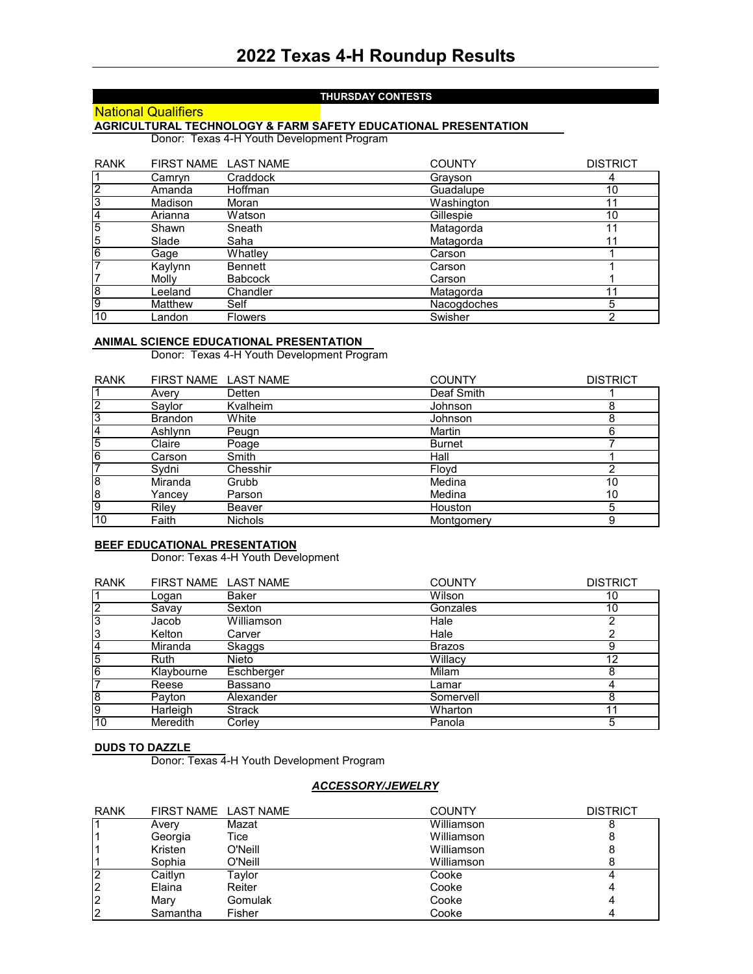#### **THURSDAY CONTESTS**

# **National Qualifiers**

**AGRICULTURAL TECHNOLOGY & FARM SAFETY EDUCATIONAL PRESENTATION** Donor: Texas 4-H Youth Development Program

| <b>RANK</b>    | FIRST NAME LAST NAME |                | <b>COUNTY</b> | <b>DISTRICT</b> |
|----------------|----------------------|----------------|---------------|-----------------|
|                | Camryn               | Craddock       | Grayson       | 4               |
| $\overline{2}$ | Amanda               | Hoffman        | Guadalupe     | 10              |
| 3              | Madison              | Moran          | Washington    | 11              |
| 4              | Arianna              | Watson         | Gillespie     | 10              |
| $\overline{5}$ | Shawn                | Sneath         | Matagorda     | 11              |
| 5              | Slade                | Saha           | Matagorda     | 11              |
| 6              | Gage                 | Whatley        | Carson        |                 |
| $\overline{7}$ | Kaylynn              | <b>Bennett</b> | Carson        |                 |
| 7              | Molly                | <b>Babcock</b> | Carson        |                 |
| $\overline{8}$ | Leeland              | Chandler       | Matagorda     |                 |
| 9              | Matthew              | Self           | Nacogdoches   | 5               |
| 10             | Landon               | <b>Flowers</b> | Swisher       | ∩               |

#### **ANIMAL SCIENCE EDUCATIONAL PRESENTATION**

Donor: Texas 4-H Youth Development Program

| <b>RANK</b>    | FIRST NAME LAST NAME |                | <b>COUNTY</b>  | <b>DISTRICT</b> |
|----------------|----------------------|----------------|----------------|-----------------|
|                | Avery                | Detten         | Deaf Smith     |                 |
| $\overline{2}$ | Savlor               | Kvalheim       | Johnson        | 8               |
| 3              | <b>Brandon</b>       | White          | Johnson        | 8               |
| 4              | Ashlynn              | Peugn          | Martin         | 6               |
| 5              | Claire               | Poage          | <b>Burnet</b>  |                 |
| 6              | Carson               | Smith          | Hall           |                 |
| 7              | Sydni                | Chesshir       | Floyd          | ⌒               |
| $\overline{8}$ | Miranda              | Grubb          | Medina         | 10              |
| 8              | Yancey               | Parson         | Medina         | 10              |
| 9              | Riley                | Beaver         | <b>Houston</b> | 5               |
| 10             | Faith                | <b>Nichols</b> | Montgomery     | 9               |

### **BEEF EDUCATIONAL PRESENTATION**

Donor: Texas 4-H Youth Development

| <b>RANK</b>    |             | FIRST NAME LAST NAME | <b>COUNTY</b> | <b>DISTRICT</b> |
|----------------|-------------|----------------------|---------------|-----------------|
| $\overline{1}$ | Logan       | Baker                | Wilson        | 10              |
| $\overline{2}$ | Savav       | Sexton               | Gonzales      | 10              |
| 3              | Jacob       | Williamson           | Hale          |                 |
| 3              | Kelton      | Carver               | Hale          |                 |
| $\overline{4}$ | Miranda     | Skaggs               | <b>Brazos</b> | 9               |
| 5              | <b>Ruth</b> | Nieto                | Willacy       | 12              |
| 6              | Klaybourne  | Eschberger           | Milam         |                 |
| 7              | Reese       | Bassano              | Lamar         |                 |
| 8              | Pavton      | Alexander            | Somervell     | 8               |
| 9              | Harleigh    | Strack               | Wharton       | 11              |
| 10             | Meredith    | Corlev               | Panola        | 5               |

#### **DUDS TO DAZZLE**

Donor: Texas 4-H Youth Development Program

## *ACCESSORY/JEWELRY*

| <b>RANK</b> |          | FIRST NAME LAST NAME | <b>COUNTY</b> | <b>DISTRICT</b> |
|-------------|----------|----------------------|---------------|-----------------|
|             | Avery    | Mazat                | Williamson    |                 |
|             | Georgia  | Tice                 | Williamson    |                 |
|             | Kristen  | O'Neill              | Williamson    |                 |
|             | Sophia   | O'Neill              | Williamson    |                 |
|             | Caitlyn  | Tavlor               | Cooke         |                 |
|             | Elaina   | Reiter               | Cooke         | 4               |
| 2           | Mary     | Gomulak              | Cooke         | 4               |
|             | Samantha | Fisher               | Cooke         |                 |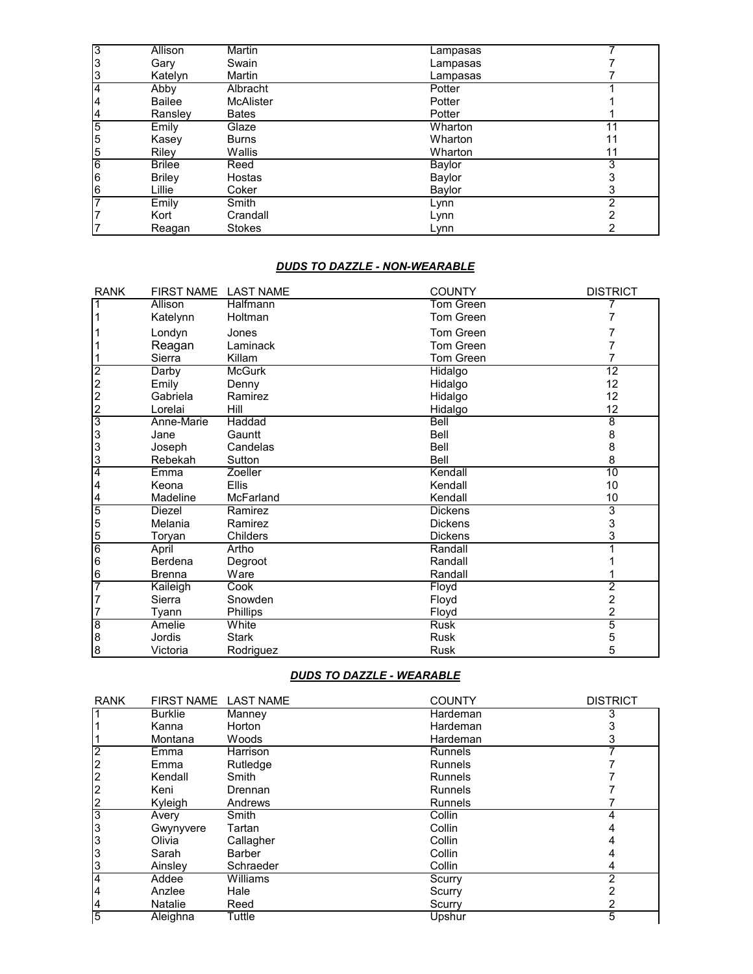| 3              | <b>Allison</b> | <b>Martin</b>    | Lampasas |    |
|----------------|----------------|------------------|----------|----|
| 3              | Gary           | Swain            | Lampasas |    |
| 3              | Katelyn        | Martin           | Lampasas |    |
| 4              | Abby           | Albracht         | Potter   |    |
| 14             | <b>Bailee</b>  | <b>McAlister</b> | Potter   |    |
| 4              | Ransley        | <b>Bates</b>     | Potter   |    |
| $\overline{5}$ | Emily          | Glaze            | Wharton  | 11 |
| 5              | Kasey          | <b>Burns</b>     | Wharton  | 11 |
| 5              | Riley          | Wallis           | Wharton  | 11 |
| 6              | <b>Brilee</b>  | Reed             | Baylor   | 3  |
| l6             | <b>Briley</b>  | Hostas           | Baylor   |    |
| 6              | Lillie         | Coker            | Baylor   |    |
|                | Emily          | Smith            | Lynn     | っ  |
|                | Kort           | Crandall         | Lynn     |    |
|                | Reagan         | <b>Stokes</b>    | Lynn     |    |

#### *DUDS TO DAZZLE - NON-WEARABLE*

| <b>RANK</b>                                | FIRST NAME LAST NAME |                | <b>COUNTY</b>    | <b>DISTRICT</b> |
|--------------------------------------------|----------------------|----------------|------------------|-----------------|
|                                            | Allison              | Halfmann       | <b>Tom Green</b> |                 |
|                                            | Katelynn             | Holtman        | Tom Green        |                 |
|                                            | Londyn               | Jones          | Tom Green        |                 |
|                                            | Reagan               | Laminack       | Tom Green        |                 |
|                                            | Sierra               | Killam         | Tom Green        |                 |
| $\overline{2}$                             | Darby                | <b>McGurk</b>  | Hidalgo          | $\overline{12}$ |
| $\begin{array}{c} 2 \\ 2 \\ 2 \end{array}$ | Emily                | Denny          | Hidalgo          | 12              |
|                                            | Gabriela             | Ramirez        | Hidalgo          | 12              |
|                                            | Lorelai              | Hill           | Hidalgo          | 12              |
| 3                                          | Anne-Marie           | Haddad         | Bell             | $\overline{8}$  |
| 3                                          | Jane                 | Gauntt         | Bell             | 8               |
| 3                                          | Joseph               | Candelas       | Bell             | 8               |
| 3                                          | Rebekah              | Sutton         | <b>Bell</b>      | 8               |
| $\overline{4}$                             | Emma                 | <b>Zoeller</b> | Kendall          | 10              |
| 4                                          | Keona                | <b>Ellis</b>   | Kendall          | 10              |
| 4                                          | Madeline             | McFarland      | Kendall          | 10              |
| $\overline{5}$                             | Diezel               | Ramirez        | <b>Dickens</b>   | $\overline{3}$  |
| 5                                          | Melania              | Ramirez        | <b>Dickens</b>   | 3               |
| 5                                          | Toryan               | Childers       | <b>Dickens</b>   | 3               |
| $\overline{6}$                             | April                | Artho          | Randall          |                 |
| 6                                          | Berdena              | Degroot        | Randall          |                 |
| 6                                          | <b>Brenna</b>        | Ware           | Randall          |                 |
| 7                                          | Kaileigh             | Cook           | Floyd            | 2               |
| 7                                          | Sierra               | Snowden        | Floyd            | 2               |
|                                            | Tyann                | Phillips       | Floyd            | 2               |
| $\overline{8}$                             | Amelie               | White          | <b>Rusk</b>      | $\overline{5}$  |
| 8                                          | Jordis               | <b>Stark</b>   | Rusk             | 5               |
| 8                                          | Victoria             | Rodriguez      | <b>Rusk</b>      | 5               |

# *DUDS TO DAZZLE - WEARABLE*

| <b>RANK</b>    |                | FIRST NAME LAST NAME | <b>COUNTY</b>  | <b>DISTRICT</b> |
|----------------|----------------|----------------------|----------------|-----------------|
|                | <b>Burklie</b> | <b>Manney</b>        | Hardeman       |                 |
|                | Kanna          | Horton               | Hardeman       |                 |
|                | Montana        | Woods                | Hardeman       |                 |
| c              | Emma           | <b>Harrison</b>      | <b>Runnels</b> |                 |
| $\overline{2}$ | Emma           | Rutledge             | <b>Runnels</b> |                 |
| $\overline{2}$ | Kendall        | Smith                | <b>Runnels</b> |                 |
| $\overline{2}$ | Keni           | Drennan              | <b>Runnels</b> |                 |
| $\overline{2}$ | Kyleigh        | Andrews              | <b>Runnels</b> |                 |
| 3              | Avery          | Smith                | Collin         |                 |
| 3              | Gwynyvere      | Tartan               | Collin         |                 |
|                | Olivia         | Callagher            | Collin         |                 |
|                | Sarah          | <b>Barber</b>        | Collin         |                 |
|                | Ainsley        | Schraeder            | Collin         |                 |
| 14             | Addee          | Williams             | Scurry         |                 |
| 4              | Anzlee         | Hale                 | Scurry         |                 |
| 14             | <b>Natalie</b> | Reed                 | Scurry         |                 |
| $\overline{5}$ | Aleighna       | Tuttle               | Upshur         | 5               |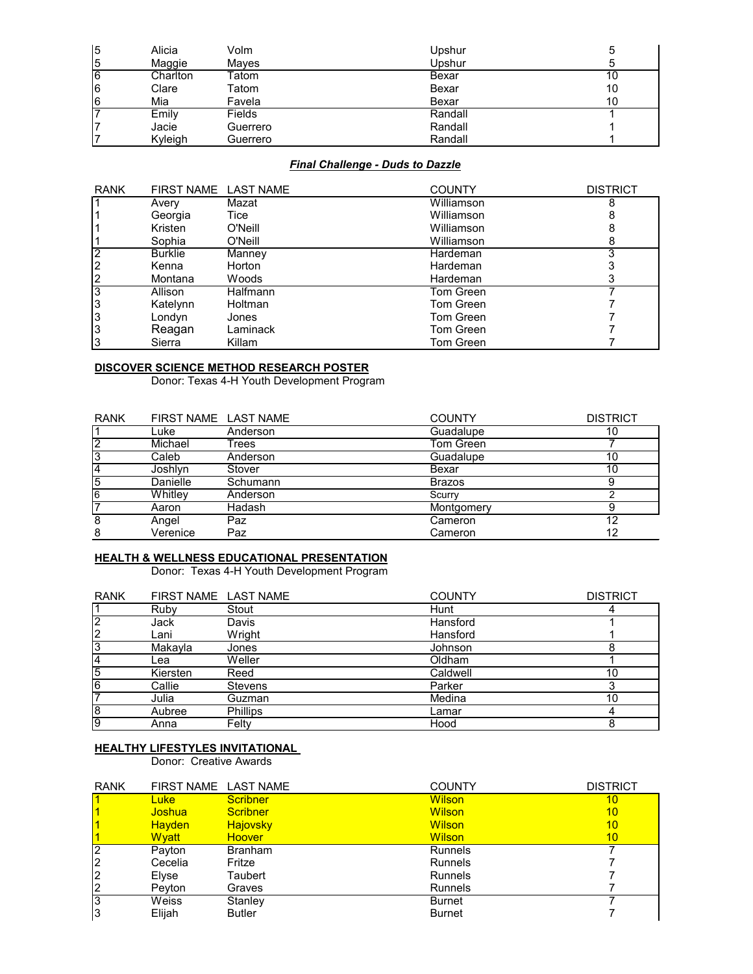| $\overline{5}$ | Alicia   | Volm     | Upshur  |    |
|----------------|----------|----------|---------|----|
| 5              | Maggie   | Maves    | Upshur  |    |
| l6             | Charlton | Гatom    | Bexar   | 10 |
| 16             | Clare    | Tatom    | Bexar   | 10 |
| 16             | Mia      | Favela   | Bexar   | 10 |
|                | Emily    | Fields   | Randall |    |
|                | Jacie    | Guerrero | Randall |    |
|                | Kyleigh  | Guerrero | Randall |    |

# *Final Challenge - Duds to Dazzle*

| <b>RANK</b>    | FIRST NAME LAST NAME |          | <b>COUNTY</b> | <b>DISTRICT</b> |
|----------------|----------------------|----------|---------------|-----------------|
|                | Avery                | Mazat    | Williamson    |                 |
|                | Georgia              | Tice     | Williamson    |                 |
|                | Kristen              | O'Neill  | Williamson    |                 |
|                | Sophia               | O'Neill  | Williamson    | ሾ               |
|                | <b>Burklie</b>       | Manney   | Hardeman      |                 |
| $\overline{2}$ | Kenna                | Horton   | Hardeman      |                 |
| $\overline{c}$ | Montana              | Woods    | Hardeman      |                 |
| 3              | Allison              | Halfmann | Tom Green     |                 |
| 3              | Katelynn             | Holtman  | Tom Green     |                 |
| 3              | Londyn               | Jones    | Tom Green     |                 |
| 3              | Reagan               | Laminack | Tom Green     |                 |
| 3              | Sierra               | Killam   | Tom Green     |                 |

#### **DISCOVER SCIENCE METHOD RESEARCH POSTER**

Donor: Texas 4-H Youth Development Program

| <b>RANK</b>    |          | FIRST NAME LAST NAME | <b>COUNTY</b> | <b>DISTRICT</b> |
|----------------|----------|----------------------|---------------|-----------------|
|                | Luke     | Anderson             | Guadalupe     | 10              |
| $\overline{2}$ | Michael  | Trees                | Tom Green     |                 |
| 3              | Caleb    | Anderson             | Guadalupe     | 10              |
| 14             | Joshlyn  | Stover               | Bexar         | 10              |
| $\overline{5}$ | Danielle | Schumann             | <b>Brazos</b> |                 |
| 6              | Whitley  | Anderson             | Scurry        |                 |
| $\overline{ }$ | Aaron    | Hadash               | Montgomery    |                 |
| 8              | Angel    | Paz                  | Cameron       | 12              |
| 8              | Verenice | Paz                  | Cameron       | 12              |

#### **HEALTH & WELLNESS EDUCATIONAL PRESENTATION**

Donor: Texas 4-H Youth Development Program

| <b>RANK</b>    | FIRST NAME LAST NAME |                | <b>COUNTY</b> | <b>DISTRICT</b> |
|----------------|----------------------|----------------|---------------|-----------------|
| 1              | Ruby                 | Stout          | Hunt          |                 |
| 2              | Jack                 | Davis          | Hansford      |                 |
| 2              | Lani                 | Wright         | Hansford      |                 |
| $\overline{3}$ | Makayla              | Jones          | Johnson       |                 |
| $\overline{4}$ | Lea                  | Weller         | Oldham        |                 |
| 5              | Kiersten             | Reed           | Caldwell      | 10              |
| 6              | Callie               | <b>Stevens</b> | Parker        |                 |
| 7              | Julia                | Guzman         | Medina        | 10              |
| $\overline{8}$ | Aubree               | Phillips       | Lamar         |                 |
| 9              | Anna                 | Felty          | Hood          | 8               |

## **HEALTHY LIFESTYLES INVITATIONAL**

Donor: Creative Awards

| <b>RANK</b>    | FIRST NAME LAST NAME |                 | <b>COUNTY</b>  | <b>DISTRICT</b> |
|----------------|----------------------|-----------------|----------------|-----------------|
|                | Luke                 | Scribner        | <b>Wilson</b>  | 10              |
|                | <b>Joshua</b>        | <b>Scribner</b> | <b>Wilson</b>  | 10              |
|                | <b>Hayden</b>        | <b>Hajovsky</b> | <b>Wilson</b>  | 10              |
|                | <b>Wyatt</b>         | <b>Hoover</b>   | <b>Wilson</b>  | 10              |
| 2              | Payton               | <b>Branham</b>  | <b>Runnels</b> |                 |
| $\overline{2}$ | Cecelia              | Fritze          | <b>Runnels</b> |                 |
| $\overline{2}$ | Elyse                | Taubert         | <b>Runnels</b> |                 |
| $\overline{2}$ | Pevton               | Graves          | <b>Runnels</b> |                 |
| 3              | Weiss                | Stanley         | <b>Burnet</b>  |                 |
| 3              | Elijah               | <b>Butler</b>   | <b>Burnet</b>  |                 |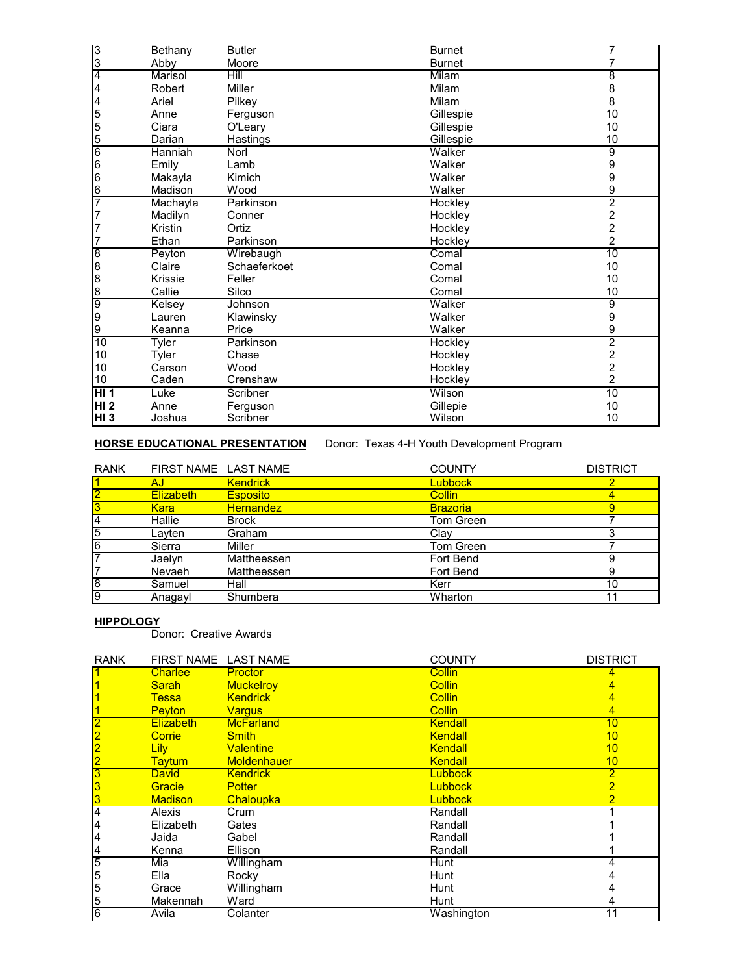| 3                | Bethany  | <b>Butler</b> | <b>Burnet</b> |                                            |
|------------------|----------|---------------|---------------|--------------------------------------------|
| $\frac{3}{4}$    | Abby     | Moore         | <b>Burnet</b> |                                            |
|                  | Marisol  | Hill          | Milam         | 8                                          |
| $\overline{4}$   | Robert   | Miller        | Milam         | 8                                          |
|                  | Ariel    | Pilkey        | Milam         | 8                                          |
| $\frac{4}{5}$    | Anne     | Ferguson      | Gillespie     | 10                                         |
|                  | Ciara    | O'Leary       | Gillespie     | 10                                         |
| $\frac{5}{6}$    | Darian   | Hastings      | Gillespie     | 10                                         |
|                  | Hanniah  | <b>Norl</b>   | Walker        | $\overline{9}$                             |
| 6                | Emily    | Lamb          | Walker        | 9                                          |
| 6                | Makayla  | Kimich        | Walker        | 9                                          |
| 6                | Madison  | Wood          | Walker        | 9                                          |
| $\overline{7}$   | Machayla | Parkinson     | Hockley       | $\overline{2}$                             |
| 7                | Madilyn  | Conner        | Hockley       | $\frac{2}{2}$                              |
| $\overline{7}$   | Kristin  | Ortiz         | Hockley       |                                            |
| $\overline{7}$   | Ethan    | Parkinson     | Hockley       | $\overline{2}$                             |
| $\overline{8}$   | Peyton   | Wirebaugh     | Comal         | 10                                         |
| $\boldsymbol{8}$ | Claire   | Schaeferkoet  | Comal         | 10                                         |
| $\frac{8}{6}$    | Krissie  | Feller        | Comal         | 10                                         |
|                  | Callie   | Silco         | Comal         | 10                                         |
| $\frac{1}{9}$    | Kelsey   | Johnson       | Walker        | $\overline{9}$                             |
|                  | Lauren   | Klawinsky     | Walker        | 9                                          |
| 9                | Keanna   | Price         | Walker        | 9                                          |
| 10               | Tyler    | Parkinson     | Hockley       | $\overline{2}$                             |
| 10               | Tyler    | Chase         | Hockley       | $\begin{array}{c} 2 \\ 2 \\ 2 \end{array}$ |
| 10               | Carson   | Wood          | Hockley       |                                            |
| 10               | Caden    | Crenshaw      | Hockley       |                                            |
| HI <sub>1</sub>  | Luke     | Scribner      | Wilson        | 10                                         |
| HI <sub>2</sub>  | Anne     | Ferguson      | Gillepie      | 10                                         |
| <b>HI3</b>       | Joshua   | Scribner      | Wilson        | 10                                         |

# **HORSE EDUCATIONAL PRESENTATION** Donor: Texas 4-H Youth Development Program

| <b>RANK</b>    | FIRST NAME LAST NAME |                  | <b>COUNTY</b>   | <b>DISTRICT</b> |
|----------------|----------------------|------------------|-----------------|-----------------|
|                | AJ                   | <b>Kendrick</b>  | Lubbock         |                 |
| $\overline{2}$ | <b>Elizabeth</b>     | <b>Esposito</b>  | <b>Collin</b>   |                 |
|                | <b>Kara</b>          | <b>Hernandez</b> | <b>Brazoria</b> | 9               |
| 4              | Hallie               | <b>Brock</b>     | Tom Green       |                 |
| 5              | Layten               | Graham           | Clay            |                 |
| 6              | Sierra               | Miller           | Tom Green       |                 |
|                | Jaelyn               | Mattheessen      | Fort Bend       |                 |
|                | Nevaeh               | Mattheessen      | Fort Bend       | 9               |
| $\overline{8}$ | Samuel               | Hall             | Kerr            | 10              |
| 9              | Anagayl              | Shumbera         | Wharton         | 11              |

#### **HIPPOLOGY**

Donor: Creative Awards

| <b>RANK</b>             | FIRST NAME LAST NAME |                    | <b>COUNTY</b>  | <b>DISTRICT</b> |
|-------------------------|----------------------|--------------------|----------------|-----------------|
|                         | <b>Charlee</b>       | <b>Proctor</b>     | <b>Collin</b>  |                 |
|                         | Sarah                | <b>Muckelroy</b>   | <b>Collin</b>  |                 |
|                         | <b>Tessa</b>         | <b>Kendrick</b>    | <b>Collin</b>  | 4               |
|                         | <b>Peyton</b>        | <b>Vargus</b>      | <b>Collin</b>  | 4               |
| $\overline{\mathbf{2}}$ | <b>Elizabeth</b>     | <b>McFarland</b>   | <b>Kendall</b> | 10              |
|                         | <b>Corrie</b>        | <b>Smith</b>       | <b>Kendall</b> | 10              |
| $\frac{2}{2}$           | Lily                 | <b>Valentine</b>   | <b>Kendall</b> | 10              |
|                         | <b>Taytum</b>        | <b>Moldenhauer</b> | <b>Kendall</b> | 10              |
| $\overline{3}$          | <b>David</b>         | <b>Kendrick</b>    | <b>Lubbock</b> | $\overline{2}$  |
| $\overline{\mathbf{3}}$ | Gracie               | <b>Potter</b>      | <b>Lubbock</b> | $\overline{2}$  |
| 3                       | <b>Madison</b>       | Chaloupka          | <b>Lubbock</b> | $\overline{2}$  |
| $\overline{4}$          | Alexis               | Crum               | Randall        |                 |
| 4                       | Elizabeth            | Gates              | Randall        |                 |
| 4                       | Jaida                | Gabel              | Randall        |                 |
| 4                       | Kenna                | Ellison            | Randall        |                 |
| 5                       | Mia                  | Willingham         | Hunt           |                 |
| 5                       | Ella                 | Rocky              | Hunt           |                 |
| 5                       | Grace                | Willingham         | Hunt           |                 |
| 5                       | Makennah             | Ward               | Hunt           |                 |
| $6\overline{6}$         | Avila                | Colanter           | Washington     | 11              |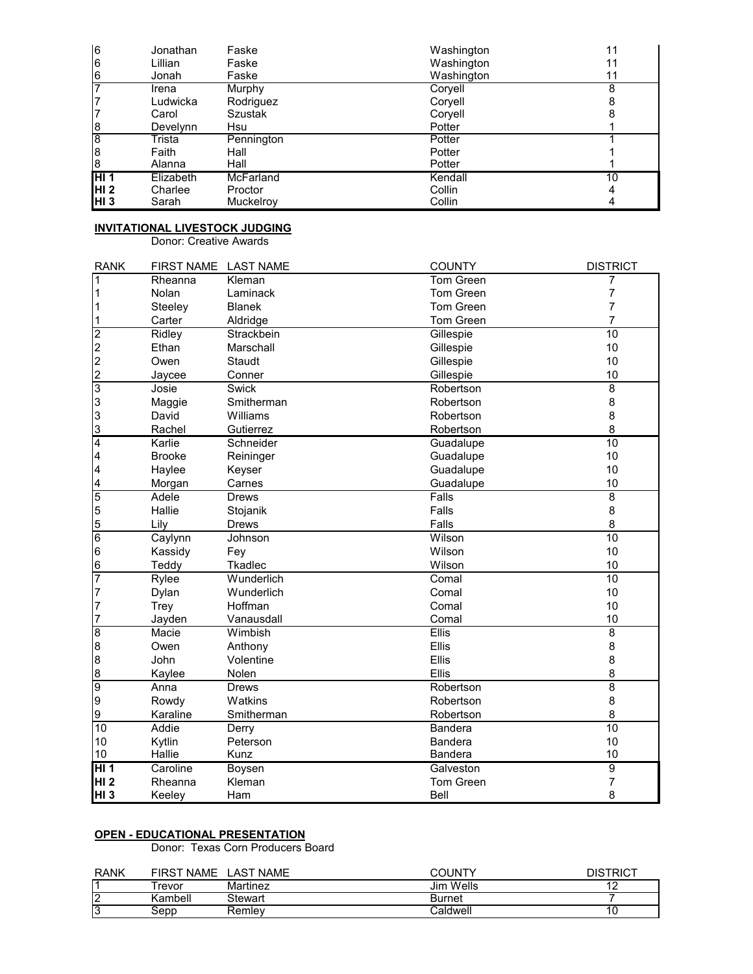| 6               | Jonathan  | Faske          | Washington | 11 |
|-----------------|-----------|----------------|------------|----|
| 6               | Lillian   | Faske          | Washington | 11 |
| 6               | Jonah     | Faske          | Washington | 11 |
|                 | Irena     | Murphy         | Coryell    | 8  |
|                 | Ludwicka  | Rodriguez      | Coryell    |    |
|                 | Carol     | <b>Szustak</b> | Coryell    |    |
| 18              | Develynn  | Hsu            | Potter     |    |
| 8               | Trista    | Pennington     | Potter     |    |
| 18              | Faith     | Hall           | Potter     |    |
| l8              | Alanna    | Hall           | Potter     |    |
| H11             | Elizabeth | McFarland      | Kendall    | 10 |
| HI <sub>2</sub> | Charlee   | Proctor        | Collin     |    |
| HI <sub>3</sub> | Sarah     | Muckelroy      | Collin     |    |

## **INVITATIONAL LIVESTOCK JUDGING**

Donor: Creative Awards

| <b>RANK</b>                                                        | <b>FIRST NAME</b> | <b>LAST NAME</b> | <b>COUNTY</b>    | <b>DISTRICT</b> |
|--------------------------------------------------------------------|-------------------|------------------|------------------|-----------------|
| $\mathbf 1$                                                        | Rheanna           | Kleman           | <b>Tom Green</b> | 7               |
| $\mathbf 1$                                                        | Nolan             | Laminack         | Tom Green        | 7               |
| 1                                                                  | Steeley           | <b>Blanek</b>    | Tom Green        | 7               |
| $\vert$ 1                                                          | Carter            | Aldridge         | Tom Green        | $\overline{7}$  |
|                                                                    | Ridley            | Strackbein       | Gillespie        | 10              |
|                                                                    | Ethan             | Marschall        | Gillespie        | 10              |
| $\begin{array}{c} \boxed{2} \\ \boxed{2} \\ \boxed{2} \end{array}$ | Owen              | Staudt           | Gillespie        | 10              |
| $\overline{2}$                                                     | Jaycee            | Conner           | Gillespie        | 10              |
| $\overline{3}$                                                     | Josie             | <b>Swick</b>     | Robertson        | $\overline{8}$  |
| 3                                                                  | Maggie            | Smitherman       | Robertson        | 8               |
| $\overline{3}$                                                     | David             | Williams         | Robertson        | 8               |
| $\overline{3}$                                                     | Rachel            | Gutierrez        | Robertson        | 8               |
| $\overline{\mathbf{4}}$                                            | Karlie            | Schneider        | Guadalupe        | $\overline{10}$ |
| $\overline{\mathbf{4}}$                                            | <b>Brooke</b>     | Reininger        | Guadalupe        | 10              |
| $\overline{\mathbf{4}}$                                            | Haylee            | Keyser           | Guadalupe        | 10              |
| $\overline{4}$                                                     | Morgan            | Carnes           | Guadalupe        | 10              |
| 5                                                                  | Adele             | <b>Drews</b>     | Falls            | $\overline{8}$  |
| 5                                                                  | Hallie            | Stojanik         | Falls            | 8               |
| $\overline{5}$                                                     | Lily              | <b>Drews</b>     | Falls            | 8               |
| $\overline{6}$                                                     | Caylynn           | Johnson          | Wilson           | 10              |
| $6\overline{6}$                                                    | Kassidy           | Fey              | Wilson           | 10              |
| $6\phantom{a}$                                                     | Teddy             | Tkadlec          | Wilson           | 10              |
| 7                                                                  | Rylee             | Wunderlich       | Comal            | 10              |
| $\overline{7}$                                                     | Dylan             | Wunderlich       | Comal            | 10              |
| $\overline{7}$                                                     | Trey              | Hoffman          | Comal            | 10              |
| $\overline{7}$                                                     | Jayden            | Vanausdall       | Comal            | 10              |
| $\overline{8}$                                                     | Macie             | Wimbish          | <b>Ellis</b>     | $\overline{8}$  |
| 8                                                                  | Owen              | Anthony          | Ellis            | 8               |
| $\overline{8}$                                                     | John              | Volentine        | Ellis            | 8               |
| $\overline{8}$                                                     | Kaylee            | Nolen            | Ellis            | 8               |
| $\overline{9}$                                                     | Anna              | <b>Drews</b>     | Robertson        | $\overline{8}$  |
| 9                                                                  | Rowdy             | Watkins          | Robertson        | 8               |
| $\overline{9}$                                                     | Karaline          | Smitherman       | Robertson        | 8               |
| $\overline{10}$                                                    | Addie             | Derry            | <b>Bandera</b>   | 10              |
| 10                                                                 | Kytlin            | Peterson         | <b>Bandera</b>   | 10              |
| 10                                                                 | Hallie            | Kunz             | <b>Bandera</b>   | 10              |
| HI 1                                                               | Caroline          | Boysen           | Galveston        | $\overline{9}$  |
| HI <sub>2</sub>                                                    | Rheanna           | Kleman           | <b>Tom Green</b> | $\overline{7}$  |
| HI <sub>3</sub>                                                    | Keeley            | Ham              | Bell             | 8               |

# **OPEN - EDUCATIONAL PRESENTATION**

Donor: Texas Corn Producers Board

| <b>RANK</b>         | NAME <sup>.</sup><br><b>FIRST</b> | <b>LAST NAME</b> | COLINTY   | DISTRIC <sup>.</sup> |
|---------------------|-----------------------------------|------------------|-----------|----------------------|
|                     | revor                             | Martinez         | Jim Wells |                      |
| $\overline{ }$<br>′ | Kambell                           | Stewart          | Burnet    |                      |
| פי<br>∪ו            | 3epr.                             | Remlev           | Caldwell  | ΙU                   |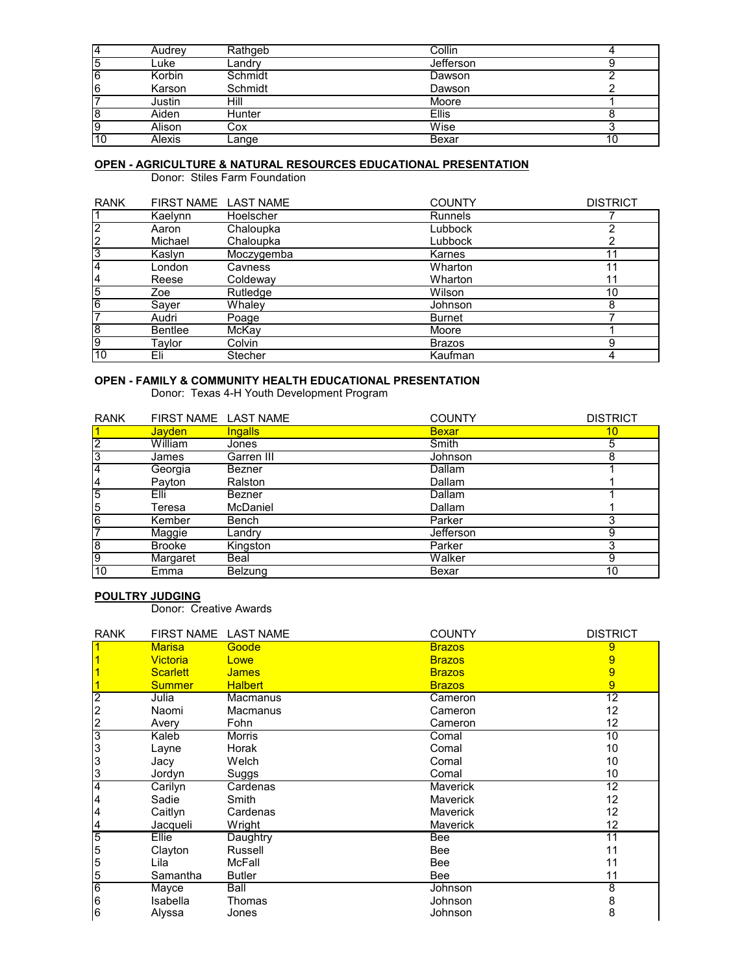| 14         | Audrev | Rathgeb | Collin       |    |
|------------|--------|---------|--------------|----|
| 15         | ∟uke   | ∟andrv  | Jefferson    |    |
| $\sqrt{6}$ | Korbin | Schmidt | Dawson       |    |
| 16         | Karson | Schmidt | Dawson       |    |
|            | Justin | Hill    | Moore        |    |
| l8         | Aiden  | Hunter  | <b>Ellis</b> |    |
| 19         | Alison | Cox     | Wise         |    |
| l10        | Alexis | ∟ange   | Bexar        | 10 |

# **OPEN - AGRICULTURE & NATURAL RESOURCES EDUCATIONAL PRESENTATION**

Donor: Stiles Farm Foundation

| <b>RANK</b>    |                | FIRST NAME LAST NAME | <b>COUNTY</b> | <b>DISTRICT</b> |
|----------------|----------------|----------------------|---------------|-----------------|
|                | Kaelynn        | Hoelscher            | Runnels       |                 |
| 12             | Aaron          | Chaloupka            | Lubbock       |                 |
| $\overline{2}$ | Michael        | Chaloupka            | Lubbock       |                 |
| 3              | Kaslyn         | Moczygemba           | Karnes        | 11              |
| 4              | London         | Cavness              | Wharton       |                 |
| 4              | Reese          | Coldeway             | Wharton       | 11              |
| $\overline{5}$ | Zoe            | Rutledge             | Wilson        | 10              |
| $\overline{6}$ | Sayer          | Whaley               | Johnson       | 8               |
| 7              | Audri          | Poage                | <b>Burnet</b> |                 |
| 8              | <b>Bentlee</b> | McKay                | Moore         |                 |
| 9              | Taylor         | Colvin               | <b>Brazos</b> | 9               |
| 10             | Eli            | <b>Stecher</b>       | Kaufman       | 4               |

#### **OPEN - FAMILY & COMMUNITY HEALTH EDUCATIONAL PRESENTATION**

Donor: Texas 4-H Youth Development Program

| <b>RANK</b>    | FIRST NAME LAST NAME |                 | <b>COUNTY</b> | <b>DISTRICT</b> |
|----------------|----------------------|-----------------|---------------|-----------------|
|                | <b>Jayden</b>        | <u>Ingalls</u>  | <b>Bexar</b>  | 10              |
| $\overline{2}$ | William              | Jones           | <b>Smith</b>  | 5               |
| 3              | James                | Garren III      | Johnson       | 8               |
| 4              | Georgia              | Bezner          | Dallam        |                 |
| 4              | Payton               | Ralston         | Dallam        |                 |
| $\overline{5}$ | Elli                 | <b>Bezner</b>   | Dallam        |                 |
| 5              | Teresa               | <b>McDaniel</b> | Dallam        |                 |
| $\overline{6}$ | Kember               | Bench           | Parker        | ົ               |
| 7              | Maggie               | Landry          | Jefferson     | 9               |
| $\overline{8}$ | <b>Brooke</b>        | Kingston        | Parker        | 3               |
| $\overline{9}$ | Margaret             | Beal            | Walker        | 9               |
| 10             | Emma                 | <b>Belzung</b>  | Bexar         | 10              |

### **POULTRY JUDGING**

Donor: Creative Awards

| <b>RANK</b>    | FIRST NAME LAST NAME |                | <b>COUNTY</b>   | <b>DISTRICT</b>                  |
|----------------|----------------------|----------------|-----------------|----------------------------------|
| 1              | <b>Marisa</b>        | Goode          | <b>Brazos</b>   | 9                                |
|                | <b>Victoria</b>      | Lowe           | <b>Brazos</b>   | 9                                |
|                | <b>Scarlett</b>      | <b>James</b>   | <b>Brazos</b>   | 9                                |
|                | <b>Summer</b>        | <b>Halbert</b> | <b>Brazos</b>   | 9                                |
| $\overline{2}$ | Julia                | Macmanus       | Cameron         | $\overline{12}$                  |
| $\overline{c}$ | Naomi                | Macmanus       | Cameron         | 12                               |
| $\overline{c}$ | Avery                | Fohn           | Cameron         | 12                               |
| 3              | Kaleb                | <b>Morris</b>  | Comal           | $\overline{10}$                  |
| 3              | Layne                | Horak          | Comal           | 10                               |
| 3              | Jacy                 | Welch          | Comal           | 10                               |
| 3              | Jordyn               | Suggs          | Comal           | 10                               |
| $\overline{4}$ | Carilyn              | Cardenas       | <b>Maverick</b> | $\overline{12}$                  |
| 4              | Sadie                | Smith          | <b>Maverick</b> | 12                               |
| 4              | Caitlyn              | Cardenas       | <b>Maverick</b> | 12                               |
| 4              | Jacqueli             | Wright         | Maverick        | 12                               |
| 5              | Ellie                | Daughtry       | Bee             | 11                               |
| 5              | Clayton              | Russell        | Bee             | 11                               |
| 5              | Lila                 | McFall         | Bee             | 11                               |
| 5              | Samantha             | <b>Butler</b>  | Bee             | 11                               |
| $\overline{6}$ | Mayce                | Ball           | Johnson         | $\overline{8}$                   |
| 6              | Isabella             | Thomas         | Johnson         | $\begin{matrix}8\\8\end{matrix}$ |
| 6              | Alyssa               | Jones          | Johnson         |                                  |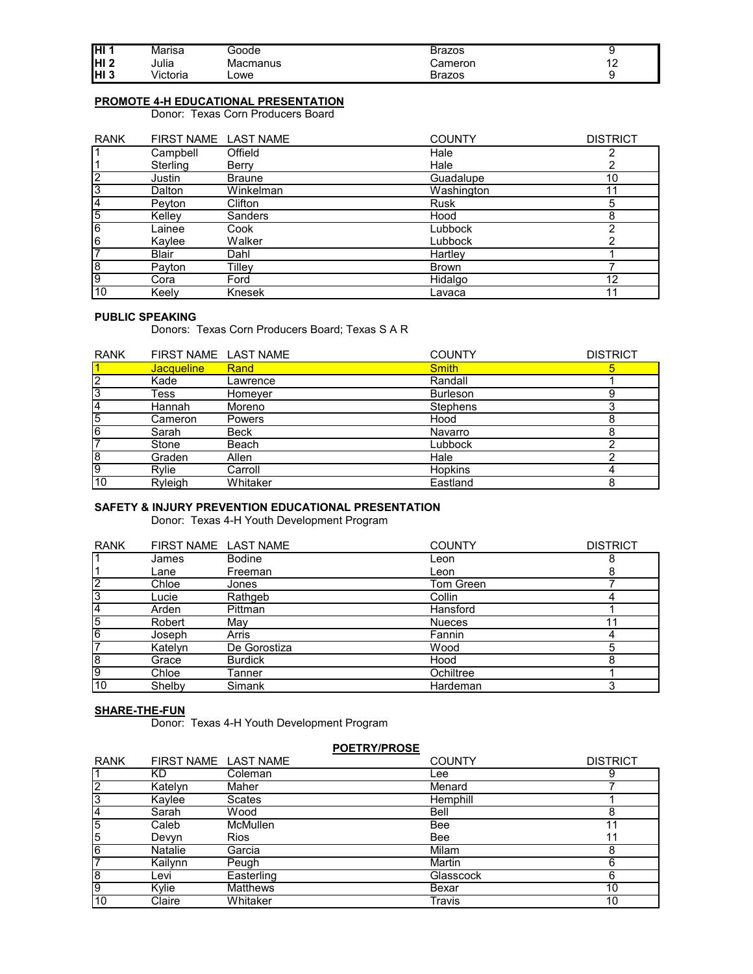| IHI 1      | Marısa            | 300de               | Brazos  |               |
|------------|-------------------|---------------------|---------|---------------|
| <b>HI2</b> | $\cdots$<br>Julia | Macmanus            | Cameron | $\sim$<br>. . |
| H13        | .<br>∕ictoria     | $\mathsf{\sim}$ owe | Brazos  |               |

# **PROMOTE 4-H EDUCATIONAL PRESENTATION**

Donor: Texas Corn Producers Board

| <b>RANK</b>    | FIRST NAME LAST NAME |                | <b>COUNTY</b> | <b>DISTRICT</b> |
|----------------|----------------------|----------------|---------------|-----------------|
|                | Campbell             | Offield        | Hale          | ◠               |
|                | Sterling             | Berry          | Hale          |                 |
| $\overline{2}$ | Justin               | <b>Braune</b>  | Guadalupe     | 10              |
| 3              | Dalton               | Winkelman      | Washington    | 11              |
| 4              | Pevton               | Clifton        | <b>Rusk</b>   | 5               |
| $\overline{5}$ | Kelley               | <b>Sanders</b> | Hood          | 8               |
| 6              | Lainee               | Cook           | Lubbock       | ኅ               |
| 6              | Kaylee               | Walker         | Lubbock       |                 |
| 7              | <b>Blair</b>         | Dahl           | Hartley       |                 |
| $\overline{8}$ | Payton               | Tilley         | <b>Brown</b>  |                 |
| 9              | Cora                 | Ford           | Hidalgo       | 12              |
| 10             | Keelv                | Knesek         | Lavaca        | 11              |

## **PUBLIC SPEAKING**

Donors: Texas Corn Producers Board; Texas S A R

| <b>RANK</b> | FIRST NAME LAST NAME |               | <b>COUNTY</b>   | <b>DISTRICT</b> |
|-------------|----------------------|---------------|-----------------|-----------------|
|             | Jacqueline           | Rand          | <b>Smith</b>    |                 |
| 2           | Kade                 | Lawrence      | Randall         |                 |
| 3           | Tess                 | Homeyer       | <b>Burleson</b> |                 |
| 4           | Hannah               | Moreno        | <b>Stephens</b> |                 |
| 5           | Cameron              | <b>Powers</b> | Hood            |                 |
| 6           | Sarah                | Beck          | Navarro         |                 |
|             | Stone                | Beach         | Lubbock         |                 |
| 8           | Graden               | Allen         | Hale            |                 |
| 9           | Rvlie                | Carroll       | <b>Hopkins</b>  |                 |
| 10          | Ryleigh              | Whitaker      | Eastland        |                 |

# **SAFETY & INJURY PREVENTION EDUCATIONAL PRESENTATION**

Donor: Texas 4-H Youth Development Program

| <b>RANK</b>    | FIRST NAME LAST NAME |                | <b>COUNTY</b> | <b>DISTRICT</b> |
|----------------|----------------------|----------------|---------------|-----------------|
|                | James                | <b>Bodine</b>  | Leon          |                 |
|                | Lane                 | Freeman        | Leon          | 8               |
| $\overline{2}$ | Chloe                | Jones          | Tom Green     |                 |
| 3              | Lucie                | Rathgeb        | Collin        |                 |
| 4              | Arden                | Pittman        | Hansford      |                 |
| 5              | Robert               | May            | <b>Nueces</b> |                 |
| 6              | Joseph               | Arris          | Fannin        |                 |
| 7              | Katelyn              | De Gorostiza   | Wood          | 5               |
| œ              | Grace                | <b>Burdick</b> | Hood          | 8               |
| О)             | Chloe                | Tanner         | Ochiltree     |                 |
| 10             | Shelby               | Simank         | Hardeman      |                 |

#### **SHARE-THE-FUN**

Donor: Texas 4-H Youth Development Program

| <b>POETRY/PROSE</b> |                      |                 |               |                 |
|---------------------|----------------------|-----------------|---------------|-----------------|
| <b>RANK</b>         | FIRST NAME LAST NAME |                 | <b>COUNTY</b> | <b>DISTRICT</b> |
|                     | ΚD                   | Coleman         | _ee           | 9               |
| $\overline{2}$      | Katelyn              | Maher           | Menard        |                 |
| 3                   | Kavlee               | <b>Scates</b>   | Hemphill      |                 |
| 4                   | Sarah                | Wood            | Bell          | 8               |
| $\overline{5}$      | Caleb                | McMullen        | Bee           | 11              |
| 5                   | Devyn                | <b>Rios</b>     | Bee           | 11              |
| $\overline{6}$      | <b>Natalie</b>       | Garcia          | Milam         | 8               |
| 7                   | Kailynn              | Peugh           | Martin        | 6               |
| $\overline{8}$      | Levi                 | Easterling      | Glasscock     | 6               |
| $\overline{9}$      | Kylie                | <b>Matthews</b> | Bexar         | 10              |
| 10                  | Claire               | Whitaker        | Travis        | 10              |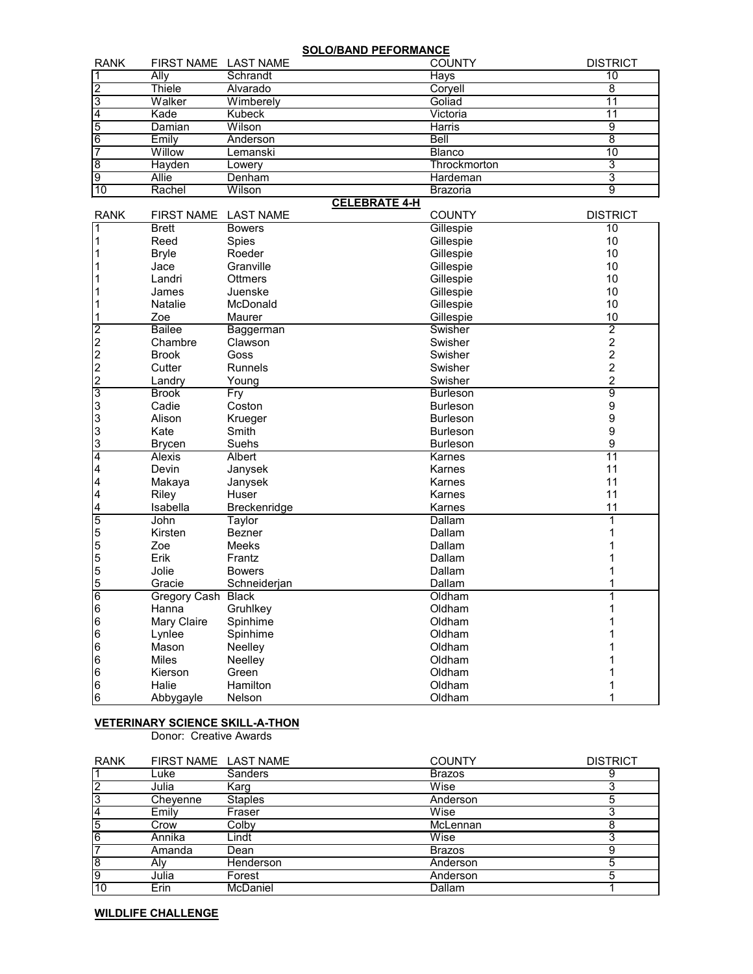**SOLO/BAND PEFORMANCE**

| Schrandt<br>Ally<br>Thiele<br>Alvarado<br>ົ<br>Walker<br>Wimberely<br><b>Kubeck</b><br>Kade |                 |    |
|---------------------------------------------------------------------------------------------|-----------------|----|
|                                                                                             | Hays            | 10 |
|                                                                                             | Coryell         |    |
|                                                                                             | Goliad          |    |
|                                                                                             | Victoria        |    |
| Wilson<br>Damian                                                                            | Harris          |    |
| 16<br>Emily<br>Anderson                                                                     | Bell            |    |
| Willow<br>Lemanski                                                                          | <b>Blanco</b>   | 10 |
| Hayden<br>Lowerv                                                                            | Throckmorton    |    |
| 9<br>Allie<br>Denham                                                                        | Hardeman        |    |
| 10<br>Rachel<br>Wilson<br>-----------                                                       | <b>Brazoria</b> | 9  |

## **CELEBRATE 4-H**

| <b>RANK</b>                                                                     | <b>FIRST NAME</b>   | <b>LAST NAME</b> | <b>COUNTY</b>   | <b>DISTRICT</b>  |
|---------------------------------------------------------------------------------|---------------------|------------------|-----------------|------------------|
| 1                                                                               | <b>Brett</b>        | <b>Bowers</b>    | Gillespie       | $\overline{10}$  |
| 1                                                                               | Reed                | Spies            | Gillespie       | 10               |
| 1                                                                               | <b>Bryle</b>        | Roeder           | Gillespie       | 10               |
|                                                                                 | Jace                | Granville        | Gillespie       | 10               |
|                                                                                 | Landri              | <b>Ottmers</b>   | Gillespie       | 10               |
|                                                                                 | James               | Juenske          | Gillespie       | 10               |
|                                                                                 | Natalie             | McDonald         | Gillespie       | 10               |
| 1                                                                               | Zoe                 | Maurer           | Gillespie       | 10               |
|                                                                                 | <b>Bailee</b>       | Baggerman        | Swisher         | $\overline{2}$   |
| $\begin{array}{c} \boxed{2} \\ \boxed{2} \\ \boxed{2} \\ \boxed{2} \end{array}$ | Chambre             | Clawson          | Swisher         | $\overline{2}$   |
|                                                                                 | <b>Brook</b>        | Goss             | Swisher         | $\overline{c}$   |
|                                                                                 | Cutter              | Runnels          | Swisher         | $\boldsymbol{2}$ |
|                                                                                 | Landry              | Young            | Swisher         | $\overline{2}$   |
| $\overline{3}$                                                                  | <b>Brook</b>        | Fry              | <b>Burleson</b> | 9                |
|                                                                                 | Cadie               | Coston           | <b>Burleson</b> | 9                |
| 3<br>3<br>3                                                                     | Alison              | Krueger          | <b>Burleson</b> | 9                |
|                                                                                 | Kate                | Smith            | <b>Burleson</b> | 9                |
| $\mathbf{3}$                                                                    | <b>Brycen</b>       | Suehs            | <b>Burleson</b> | 9                |
| 4                                                                               | <b>Alexis</b>       | Albert           | Karnes          | 11               |
| $\overline{\mathbf{4}}$                                                         | Devin               | Janysek          | Karnes          | 11               |
| $\overline{\mathbf{4}}$                                                         | Makaya              | Janysek          | Karnes          | 11               |
| 4                                                                               | Riley               | Huser            | Karnes          | 11               |
| 4                                                                               | Isabella            | Breckenridge     | Karnes          | 11               |
| $\overline{5}$                                                                  | John                | <b>Taylor</b>    | Dallam          |                  |
| 5                                                                               | Kirsten             | Bezner           | Dallam          |                  |
| $\begin{array}{c} 5 \\ 5 \\ 5 \end{array}$                                      | Zoe                 | <b>Meeks</b>     | Dallam          |                  |
|                                                                                 | Erik                | Frantz           | Dallam          |                  |
|                                                                                 | Jolie               | <b>Bowers</b>    | Dallam          |                  |
| 5                                                                               | Gracie              | Schneiderjan     | Dallam          |                  |
| $\overline{6}$                                                                  | <b>Gregory Cash</b> | <b>Black</b>     | Oldham          |                  |
| 6                                                                               | Hanna               | Gruhlkey         | Oldham          |                  |
| 6                                                                               | Mary Claire         | Spinhime         | Oldham          |                  |
| 6                                                                               | Lynlee              | Spinhime         | Oldham          |                  |
| $\,6$                                                                           | Mason               | Neelley          | Oldham          |                  |
| $\,6$                                                                           | <b>Miles</b>        | Neelley          | Oldham          |                  |
| 6                                                                               | Kierson             | Green            | Oldham          |                  |
| 6                                                                               | Halie               | Hamilton         | Oldham          |                  |
| 6                                                                               | Abbygayle           | Nelson           | Oldham          |                  |

# **VETERINARY SCIENCE SKILL-A-THON**

Donor: Creative Awards

| <b>RANK</b>    | FIRST NAME LAST NAME |                | <b>COUNTY</b> | <b>DISTRICT</b> |
|----------------|----------------------|----------------|---------------|-----------------|
|                | Luke                 | <b>Sanders</b> | <b>Brazos</b> |                 |
| 2              | Julia                | Karg           | Wise          |                 |
| 3              | Cheyenne             | <b>Staples</b> | Anderson      |                 |
| 4              | Emily                | Fraser         | Wise          |                 |
| 5              | Crow                 | Colby          | McLennan      | 8               |
| 6              | Annika               | Lindt          | Wise          |                 |
|                | Amanda               | Dean           | <b>Brazos</b> | 9               |
| $\overline{8}$ | Alv                  | Henderson      | Anderson      | 5               |
| $\overline{9}$ | Julia                | Forest         | Anderson      | 5               |
| 10             | Erin                 | McDaniel       | Dallam        |                 |

**WILDLIFE CHALLENGE**